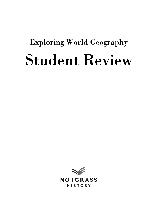# Exploring World Geography Student Review

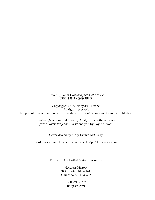*Exploring World Geography Student Review* ISBN 978-1-60999-159-3

Copyright © 2020 Notgrass History. All rights reserved. No part of this material may be reproduced without permission from the publisher.

> Review Questions and Literary Analysis by Bethany Poore (except *Know Why You Believe* analysis by Ray Notgrass)

> > Cover design by Mary Evelyn McCurdy

**Front Cover:** Lake Titicaca, Peru, by saiko3p / Shutterstock.com

Printed in the United States of America

Notgrass History 975 Roaring River Rd. Gainesboro, TN 38562

> 1-800-211-8793 notgrass.com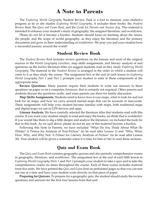## **A Note to Parents**

The *Exploring World Geography* Student Review Pack is a tool to measure your student's progress as he or she studies *Exploring World Geography*. It includes three books: the *Student Review Book*, the *Quiz and Exam Book*, and the *Guide for Parents and Answer Key*. This material is intended to enhance your student's study of geography, the assigned literature, and worldview.

Please do not let it become a burden. Students should focus on learning about the issues, the people, and the scope of world geography, as they enjoy the literature and the primary documents and grow in their understanding of worldview. We pray you and your student have a successful journey around the world!

#### **Student Review Book**

The *Student Review Book* includes review questions on the lessons and most of the original sources in the *World Geography Gazetteer*, map skills assignments, and literary analysis of and questions on the twelve literature titles we suggest students read as they study *Exploring World Geography*. The material in the *Student Review* is arranged in the order in which a student will come to it as they study the course. The assignment box at the end of each lesson in *Exploring World Geography Part 1* and *Part 2* prompts your student to refer to these components at the appropriate time.

**Review Questions.** Many parents require their students to write out answers to these questions on paper or on a computer; however, that is certainly not required. Other parents and students discuss the questions orally, and some parents use them for family discussion.

**Map Skills Assignments.** Students need to know how to use maps, what to look for and not look for on maps, and how we carry around mental maps that can be accurate or inaccurate. These assignments will help your student become familiar with maps, both traditional maps and digital maps we use in GPS devices and apps.

**Literary Analysis.** We have carefully selected the literature titles that students read with this course. If you want your student simply to read and enjoy the books, we think that is wonderful. If you would like them to dig a little deeper and analyze the literature, we included the tools for that in this book. As we said above, please do not let any of this material become a burden.

Following this Note to Parents, we have included "What Do You Think About What He Thinks? A Primer for Analysis of Non-Fiction" (to be read after Lesson 1) and "Who, What, How, Why, and Why Not: A Primer for Literary Analysis of Fiction" (to be read after Lesson 36). Your student will be given a reminder when it is time for him or her to read these sections.

### **Quiz and Exam Book**

The *Quiz and Exam Book* contains geography quizzes and also periodic comprehensive exams in geography, literature, and worldview. The assignment box at the end of each fifth lesson in *Exploring World Geography Parts 1* and *Part 2* prompts your student to take a quiz and to take the comprehensive exams six times throughout the course. Each of these exams includes material from five units. We have printed the *Quiz and Exam Book* on perforated pages so that you can tear out one at a time and have your student write directly on that piece of paper.

**Preparing for Quizzes.** To prepare for a geography quiz, the student should study the review questions and answers for the first four lessons from that unit.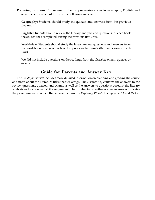**Preparing for Exams.** To prepare for the comprehensive exams in geography, English, and worldview, the student should review the following material:

**Geography:** Students should study the quizzes and answers from the previous five units.

**English:** Students should review the literary analysis and questions for each book the student has completed during the previous five units.

**Worldview:** Students should study the lesson review questions and answers from the worldview lesson of each of the previous five units (the last lesson in each unit).

We did not include questions on the readings from the *Gazetteer* on any quizzes or exams.

## **Guide for Parents and Answer Key**

The *Guide for Parents* includes more detailed information on planning and grading the course and notes about the literature titles that we assign. The *Answer Key* contains the answers to the review questions, quizzes, and exams, as well as the answers to questions posed in the literary analysis and for one map skills assignment. The number in parentheses after an answer indicates the page number on which that answer is found in *Exploring World Geography Part 1* and *Part 2*.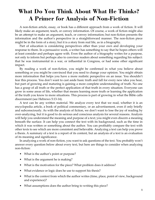# **What Do You Think About What He Thinks? A Primer for Analysis of Non-Fiction**

A non-fiction article, essay, or book has a different approach from a work of fiction. It will likely make an argument, teach, or convey information. Of course, a work of fiction might also be an attempt to make an argument, teach, or convey information; but non-fiction presents the information and the author's perspective in a straightforward manner. The non-fiction piece might be in the form of a story; but it is a story from real life, as in a biography.

Part of education is considering perspectives other than your own and developing your response to them. In a persuasive work, a writer has something to say that he hopes others will at least consider and perhaps agree with. Even the author of a biography writes for a purpose, not only to inform but perhaps also to convince readers about something regarding his subject: that he was instrumental in a war, or influential in Congress, or had some other significant impact.

By reading a work of non-fiction, you might be confirmed in what you believe about something or you might be convinced that you need to change your opinion. You might obtain more information that helps you have a more realistic perspective on an issue. You shouldn't fear this process. You don't want to cast aside basic truth and fall for every new idea you hear, but part of growing and maturing is gaining a more complete understanding of truth. No one has a grasp of all truth or the perfect application of that truth in every situation. Everyone can grow in some areas of life, whether that means learning more truth or learning the application of the truth you know to more situations. This process is part of growing in what the Bible calls discernment (see Hebrews 5:13-14).

A text can be any written material. We analyze every text that we read, whether it is an encyclopedia article, a book of political commentary, or an advertisement, even if only briefly and subconsciously. As with the analysis of fiction, we don't want to lose the joy of reading by over-analyzing, but it is good to do serious and conscious analysis for several reasons. Analysis will help you understand the meaning and purpose of a text; you might even discern a meaning beneath the surface. It can help you connect the text with its background, such as the time in which it was written or something about the author. You can profitably compare the text with other texts to see which are more consistent and believable. Analyzing a text can help you prove a thesis. A summary of a text is a report of its content, but an analysis of a text is an evaluation of its meaning and significance.

In analyzing a work of non-fiction, you want to ask questions of the text. You probably won't answer every question below about every text, but here are things to consider when analyzing non-fiction:

- What is the author's point or purpose?
- What is the argument he is making?
- What is the motivation for the piece? What problem does it address?
- What evidence or logic does he use to support his thesis?
- What is the context from which the author writes (time, place, point of view, background and experience)?
- What assumptions does the author bring to writing this piece?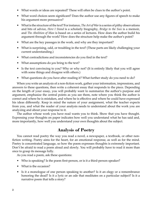- What words or ideas are repeated? These will often be clues to the author's point.
- What word choices seem significant? Does the author use any figures of speech to make his argument more persuasive?
- What is the structure of the text? For instance, *The Art of War* is a series of pithy observations and bits of advice, *Here I Stand* is a scholarly biography, *Bridge to the Sun* is a memoir, and *The Abolition of Man* is based on a series of lectures. How does the author build his argument through the work? How does the structure help make the author's point?
- What are the key passages in the work, and why are they important?
- What is surprising, odd, or troubling in the text? (These parts are likely challenging your current understanding.)
- What contradictions and inconsistencies do you find in the text?
- What assumptions do *you* bring to the text?
- Is the text convincing to you? Why or why not? (It is entirely likely that you will agree with some things and disagree with others.)
- What questions do you have after reading it? What further study do you need to do?

When you write an analysis of a non-fiction work, gather your information, impressions, and answers to these questions, then write a coherent essay that responds to the piece. Depending on the length of your essay, you will probably want to summarize the author's purpose and argument, emphasize the central points as you see them, note where you think the author is correct and where he is mistaken, and where he is effective and where he could have expressed his ideas differently. Keep in mind the nature of your assignment, what the teacher expects from you, and what the reader of your analysis needs to understand about the work you are analyzing and about your response to it.

The author whose work you have read wants you to think. Show that you have thought. Expressing your thoughts on paper indicates how well you understand what he has said and, more importantly, how well you understand your own thoughts about the subject.

## **Analysis of Poetry**

You cannot read poetry the way you read a novel, a newspaper, a textbook, or other nonfiction writing. Poetry aims for the heart, for an emotional response, as well as for the mind. Poetry is concentrated language, so how the poem expresses thoughts is extremely important. Don't be afraid to read a poem aloud and slowly. You will probably have to read it more than once to grasp its message fully.

As you read a poem, ask these questions:

- Who is speaking? Is the poem first-person, or is it a third-person speaker?
- What is the occasion?
- Is it a monologue of one person speaking to another? Is it an elegy or a remembrance honoring the dead? Is it a lyric or an ode that meditates on a particular subject? Is it a narrative poem that tells a story?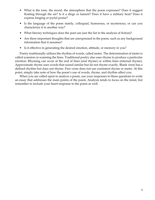- What is the tone, the mood, the atmosphere that the poem expresses? Does it suggest floating through the air? Is it a dirge or lament? Does it have a military beat? Does it express longing or joyful praise?
- Is the language of the poem stately, colloquial, humorous, or mysterious, or can you characterize it in another way?
- What literary techniques does the poet use (see the list in the analysis of fiction)?
- Are there important thoughts that are unexpressed in the poem, such as any background information that it assumes?
- Is it effective in generating the desired emotion, attitude, or memory in you?

Poetry traditionally utilizes the rhythm of words, called meter. The determination of meter is called scansion or scanning the lines. Traditional poetry also uses rhyme to produce a particular emotion. Rhyming can occur at the end of lines (end rhyme) or within lines (internal rhyme). Approximate rhyme uses words that sound similar but do not rhyme exactly. Blank verse has a defined rhythm but does not rhyme. Free verse does not use consistent rhyme or meter. At this point, simply take note of how the poem's use of words, rhyme, and rhythm affect you.

When you are called upon to analyze a poem, use your responses to these questions to write an essay that addresses the main points of the poem. Analysis tends to focus on the mind, but remember to include your heart-response to the poem as well.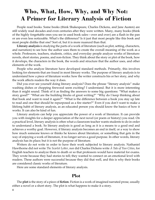## **Who, What, How, Why, and Why Not: A Primer for Literary Analysis of Fiction**

People read books. Some books (think Shakespeare, Charles Dickens, and Jane Austen) are still widely read decades and even centuries after they were written. Many, many books (think of the highly forgettable ones you see in used book sales—over and over) are a flash in the pan or are even less noticeable. What's the difference? Is it just that most people like this book and most people dislike that one? Sort of, but it is more nuanced than that.

**Literary analysis** is studying the parts of a work of literature (such as plot, setting, characters, and narration) to see how the author uses them to create the overall meaning of the work as a whole. Professors, teachers, students, critics, and everyday people analyze works of literature: novels, short stories, poems, and non-fiction. They think about the story or plot of the book, how it develops, the characters in the book, the words and structure that the author uses, and other elements of the work.

People who analyze literature have developed standard methods. Primarily, this involves looking for elements that are found in most literary works. The purpose of literary analysis is to understand how a piece of literature works: how the writer constructs his or her story, and why the work affects readers the way it does.

Did you ever see yourself doing literary analysis? Does the phrase "literary analysis" make washing dishes or chopping firewood seem exciting? I understand. But it is more interesting than it might sound. Think of it as finding the answers to some big questions: "What makes a story good?" "What are the building blocks of great writing?" "Why do I keep thinking about that book and want to read it again?" "What is the difference between a book you stay up late to read and one that should be repurposed as a fire starter?" Even if you don't want to make a lifelong habit of literary analysis, as an educated person you should know the basics of how it works. It can also be kind of fun.

Literary analysis can help you appreciate the power of a work of literature. It can provide you with insights for a deeper appreciation of the next novel (or poem or history) you read. On a practical level, literary analysis is often what a classroom teacher wants students to do in order to understand a book. So literary analysis is good as long as it is a means to a good end and achieves a worthy goal. However, if literary analysis becomes an end in itself, or a way to show how much someone knows or thinks he knows about literature, or something that gets in the way of enjoying a work of literature, it no longer serves a good purpose. In other words, literary analysis has its place; but it is not the purpose of literature.

Writers do not write in order to have their work subjected to literary analysis. Nathaniel Hawthorne did not write *The Scarlet Letter*, nor did Charles Dickens write *A Tale of Two Cities*, for English teachers to analyze them to death or so that professors would have material for exams. They wrote because they had stories to tell; they wanted to connect on an emotional level with readers. These authors were successful because they did that well, and this is why their books are considered classic works of literature.

Here are some standard elements of literary analysis.

#### **Plot**

The **plot** is the story of a piece of **fiction**. Fiction is a work of imagined narrated prose, usually either a novel or a short story. The plot is what happens to make it a story.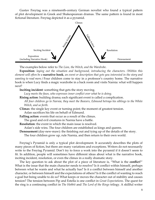Gustav Freytag was a nineteenth-century German novelist who found a typical pattern of plot development in Greek and Shakespearean dramas. The same pattern is found in most fictional literature. Freytag depicted it as a pyramid.



The examples below refer to *The Lion, the Witch, and the Wardrobe*.

**Exposition***: laying out the situation and background, introducing the characters. (Within this element will often be a* **narrative hook***, an event or description that gets you interested in the story and wanting to read more.)* Four children come to stay in a professor's country home. The narrative hook is when Lucy finds a magic wardrobe in a back room and visits Narnia: what will happen next?

**Inciting incident***:* something that gets the story moving.

*Lucy meets the faun, who expresses inner conflict over what he is doing.*

**Rising action**: building drama; each significant event is called a complication. *All four children go to Narnia, they meet the Beavers, Edmund betrays his siblings to the White Witch, and so forth.*

**Climax**: the single key event or turning point; the moment of greatest tension. Aslan sacrifices his life on behalf of Edmund.

**Falling action**: events that occur as a result of the climax.

The good and evil creatures in Narnia have a battle.

**Resolution**: the event in which the main issue is resolved.

Aslan's side wins. The four children are established as kings and queens.

**Denouement** (day-new-maw): the finishing out and tying up of the details of the story.

The four children grow up, rule Narnia, and then return to their own world.

Freytag's Pyramid is only a typical plot development. It accurately describes the plots of many pieces of fiction, but there are many variations and exceptions. Writers do not necessarily write to the Freytag Pyramid. Don't try to force a work into the pyramid if it doesn't seem to fit. In addition, people will sometimes have different ideas about what is the narrative hook, inciting incident, resolution, or even the climax in a really dramatic story.

The key question to ask about the plot of a piece of literature is, "What is the **conflict**?" What is the issue that the main character needs to resolve? Is it conflict within himself, perhaps between what he wants and what he actually has? Is it a conflict between himself and another character, or between himself and the expectations of others? Is it the conflict of wanting to reach a goal but being unable to do so? What keeps or moves the character out of stability and causes tension? The tension between Pip and Estella is one conflict in *Great Expectations*. The quest for the ring is a continuing conflict in *The Hobbit* and *The Lord of the Rings* trilogy. A skillful writer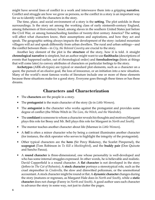might have several lines of conflict in a work and interweave them into a gripping **narrative**. Conflict and struggle are how we grow as persons, so the conflict in a story is an important way for us to identify with the characters in the story.

The time, place, and social environment of a story is the **setting**. The plot unfolds in these surroundings. Is the story set among the working class of early ninteenth-century England, among fishermen of first-century Israel, among slaves in the southern United States just before the Civil War, or among homeschooling families of twenty-first century America? The setting will affect what characters know, their assumptions and aspirations, and how they act and speak. The geographic setting always impacts the development of the story: isolated mountain villagers will act and speak differently from urban dwellers. The rural and urban settings—and the conflict between them—in *Cry, the Beloved Country* are crucial to the story.

Another key element of the plot is the **structure** of the story, how it is told. A straight **chronological narrative** is simplest, but an author might want to use **flashbacks** (descriptions of events that happened earlier, out of chronological order) and **foreshadowings** (hints at things that will come later) to convey attributes of characters or particular feelings to the story.

**Archetypes** (ARK-eh-types) are typical or standard plot elements, such as a character on a quest, the pursuit of an elusive goal, the loss of innocence, or an initiation into a new situation. Many of the world's most famous works of literature include one or more of these elements because these situations make for a good story. Everyone goes through these times or has these dreams.

#### **Characters and Characterization**

- The **characters** are the people in a story.
- The **protagonist** is the main character of the story (Jo in *Little Women*).
- The **antagonist** is the character who works against the protagonist and provides some degree of conflict (the White Witch in *The Lion, the Witch, and the Wardrobe*).
- The **confidant** is someone to whom a character reveals his thoughts and motives (Margaret plays this role for Bessy and Mr. Bell plays this role for Margaret in *North and South*).
- The mentor teaches another character about life (Marmee in *Little Women*).
- A **foil** is often a minor character who by being a contrast illuminates another character (for instance, the slick operator who serves to highlight the integrity of the protagonist).
- Other typical characters are the **hero** (Sir Percy Blakeney, the Scarlet Pimpernel), the **scapegoat** (Tom Robinson in *To Kill a Mockingbird*), and the **buddy pair** (Don Quixote and Sancho Panza).
- A **round character** is three-dimensional, one whose personality is well-developed and who has some internal struggles expressed. In other words, he is believable and realistic. David Copperfield is a round character. A **flat character** is not developed in the story (Jethro in *The Cat of Bubastes*). A **stock character** portrays a stereotypical role, such as the cruel stepmother in *Cinderella*, the slow and dimwitted policeman, or the unemotional accountant. A stock character might be round or flat. A **dynamic character** changes during the story (matures or regresses, as Margaret Hale does in *North and South*), while a **static character** does not change (Fanny in *North and South*). A good author uses each character to advance the story in some way, not just to clutter the pages.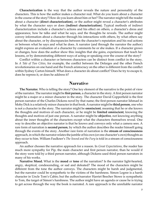**Characterization** is the way that the author reveals the nature and personality of the characters. This is how the author makes a character real. What do you learn about a character in the course of the story? How do you learn about him or her? The narrator might tell the reader about a character (**direct characterization**), or the author might reveal a character's attributes by what the character says or does (**indirect characterization**). Typical methods of indirect characterization include a character's actions and his effect on others, a character's dress and appearance, how he talks and what he says, and the thoughts he reveals. The author might convey information about a character through his interactions with others, by what others say about the character, or by discrepancies between the character's reputation and his real actions or between what he says and what he does. A narrator (and through the narrator the author) might express an evaluation of a character by comments he or she makes. If a character grows or changes, how does the author show this: insights that she gains, experiences that teach her lessons, or by demonstrating different ways of acting or speaking over the course of the story?

Conflict within a character or between characters can be distinct from conflict in the story. In *A Tale of Two Cities*, for example, the conflict between the Defarges and the other French revolutionaries on one hand and the French aristocracy on the other is different from the conflict within Sydney Carton himself. What does a character do about conflict? Does he try to escape it, does he repress it, or does he address it?

#### **Narrative**

**The Narrator.** Who is telling the story? One key element of the narrative is the point of view of the narrator. The narrator might be **first person**, a character in the story. A first person narrator might be a major or a minor character in the story. The character David Copperfield is the first person narrator of the Charles Dickens novel by that name; the first-person narrator Ishmael in Moby Dick is a relatively minor character in that book. A narrator might be **third person**, one who is not a character in the story. The narrator might be **omniscient**, meaning that he or she knows the thoughts and motives of each character, or he might be **limited omniscient**, knowing the thoughts and motives of just one person. A narrator might be **objective**, not knowing anything about the inner thoughts of the characters except what the characters themselves reveal. One way to describe an objective narrator is that he knows and conveys only what a camera sees. A rare form of narration is **second person**, by which the author describes the reader himself going through the events of the story. Another rare form of narration is the **stream of consciousness** approach, in which the narrator relates the jumble of his own (or one character's own) thoughts as they occur to him. William Faulkner's *The Sound and the Fury* is told in a stream of consciousness approach.

An author chooses the narrative approach for a reason. In *Great Expectations*, the reader has much more sympathy for Pip, the main character and first person narrator, than he would if the story were told by a third person narrator, although Dickens used third person narrators in many of his works.

**Narrative Mood.** What is the **mood** or **tone** of the narration? Is the narrator light-hearted, angry, skeptical, condescending, or sad and defeated? The mood of the characters might be different from the tone the author conveys. The characters might be harsh and judgmental, but the narrator could be sympathetic to the victims of the harshness. Simon Legree is a harsh character in Uncle Tom's Cabin; but the author/narrator Harriet Beecher Stowe is sympathetic to Tom, the target of Simon's harshness. The author might have an agenda or cause he is trying to get across through the way the book is narrated. A rare approach is the unreliable narrator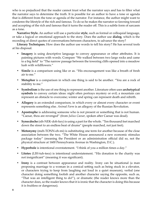who is so prejudiced that the reader cannot trust what the narrator says and has to filter what the narrator says to determine the truth. It is possible for an author to have a tone or agenda that is different from the tone or agenda of the narrator. For instance, the author might want to condemn the lifestyle of the rich and famous. To do so he makes the narrator so fawning toward and accepting of the rich and famous that it turns the reader off. This is a subtle form of sarcasm as a tone.

**Narrative Style.** An author will use a particular **style**, such as formal or colloquial language, or take a logical or emotional approach to the story. Does the author use **dialog**, which is the recording of direct quotes of conversations between characters, to advance the story?

**Literary Techniques.** How does the author use words to tell his story? He has several tools at his disposal.

- **• Imagery** is using descriptive language to convey appearance or other attributes. It is painting pictures with words. Compare "We walked between two large rocks and came to a big field" to "The narrow passage between the towering cliffs opened into a meadow lush with wildflowers."
- **• Simile** is a comparison using like or as. "His encouragement was like a breath of fresh air to me."
- **• Metaphor** is a comparison in which one thing is said to be another. "You are a rock of stability to me."
- **• Symbolism** is the use of one thing to represent another. Literature often uses **archetypical symbols** to convey certain ideas: night often portrays mystery or evil; a mountain can represent an obstacle to overcome; winter and spring can represent death and rebirth.
- **• Allegory** is an extended comparison, in which every or almost every character or event represents something else. *Animal Farm* is an allegory of the Russian Revolution.
- **• Apostrophe** is addressing someone who is not present or something that is not human. "Caesar, thou are revenged" (from *Julius Caesar*, spoken after Caesar was dead).
- **• Synecdoche** (sih-NEK-doh-key) is using a part for the whole. "Ten thousand feet marched down the street to an endless beat of drums" (people marched, not just feet).
- **• Metonymy** (meh-TONN-eh-mi) is substituting one term for another because of the close association between the two. "The White House announced a new economic stimulus package today" (meaning the President or an administration official did so, not the physical structure at 1600 Pennsylvania Avenue in Washington, D.C.).
- **• Hyperbole** is intentional overstatement. "I think of you a million times a day."
- **• Litotes** (LIH-tuh-teez) is intentional understatement. "His donation to the charity was not insignificant" (meaning it was significant).
- **• Irony** is a contrast between appearance and reality. Irony can be situational (a man proposing marriage to a woman in a comical setting such as being stuck in a elevator, or characters trying to keep from laughing out loud in a quiet museum), verbal (one character doing something foolish and another character saying the opposite, such as, "That was an intelligent thing to do!"), or dramatic (the reader knows more than the character does, so the reader knows that it is ironic that the character is doing this because it is fruitless or dangerous).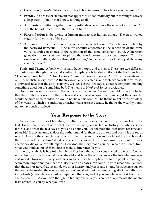- **• Oxymoron** (ox-ee-MORE-on) is a contradiction in terms. "The silence was deafening."
- **• Paradox** is a phrase or statement that appears to be contradictory but in fact might convey a deep truth. "I know that I know nothing at all."
- **• Antithesis** is putting together two opposite ideas to achieve the effect of a contrast. "It was the best of times, it was the worst of times."
- **• Personification** is the giving of human traits to non-human things. "The trees waited eagerly for the rising of the sun."
- **• Alliteration** is the repetition of the same initial verbal sound. "Billy bounced a ball by the backyard barbecue." To be more specific: assonance is the repetition of the same vowel sound; consonance is the repetition of the same consonant sound. Alliteration gives rhythm to a statement or phrase that can increase its emotional impact. "And the raven, never flitting, still is sitting, still is sitting/On the pallid bust of Pallas just above my chamber door."

**Topic and Theme**. A book will usually have a topic and a theme. These are two different attributes even though they sound similar. A **topic** is a brief description of the book, such as, "The French Revolution," "How Lenin's Communist Russia operated," or "Life in a nineteenthcentury English factory town." A **theme** can usually be stated in one sentence and often expresses a universal idea that the story conveys. *Cry, the Beloved Country* is about redemption, making something good out of something bad. The theme of *North and South* is prejudice.

How does the author deal with the conflict and the theme? The author might convey his belief that the conflict is a result of the protagonist's outdated or irrational mindset; if the character would be more open-minded, he would not have this conflict. The theme might be the privilege of the wealthy, which the author approaches with sarcasm because he thinks the wealthy ought not to have such privilege.

## **Your Response to the Story**

As you read a work of literature, whether fiction, poetry, or non-fiction, interact with the text. Even more, interact with what the text is saying about life, or history, or whatever the topic is, and what the text says to you and about you. Are the plot and characters realistic and plausible? If they are unreal, does the author intend for them to be unreal and does this approach work? How are the characters products of their time and place and social setting and how do they transcend their setting? What is especially meaningful to you in terms of particular scenes, characters, dialog, or overall impact? How does the story make you feel, which is different from what you think about it? How does it make a difference for you?

Literary analysis is helpful when it clarifies how the author constructed the work. You can more deeply appreciate what he or she did and how the work conveys the intended message and mood. However, literary analysis can sometimes be emphasized to the point of making it seem more important than the work itself; and an analyst can come up with ideas about a work that the author never had in mind. Much of literary analysis is and should be subconscious on the part of the reader, the way we enjoy a good meal without over-analyzing all of the individual ingredients (although you should compliment the cook, and, if you are interested, ask how he or she prepared it). As you give thought to literary analysis, you can better appreciate the mental feast offered to you by what you read.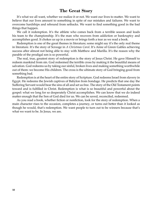#### **The Great Story**

It's what we all want, whether we realize it or not. We want our lives to matter. We want to believe that our lives amount to something in spite of our mistakes and failures. We want to overcome hardships and rebound from setbacks. We want to find something good in the bad things that happen.

We call it redemption. It's the athlete who comes back from a terrible season and leads his team to the championship. It's the man who recovers from addiction or bankruptcy and accomplishes good. It chokes us up in a movie or brings forth a tear as we read a book.

Redemption is one of the great themes in literature; some might say it's the only real theme in literature. It's the story of Scrooge in *A Christmas Carol*. It's Anne of Green Gables achieving success after almost not being able to stay with Matthew and Marilla. It's the reason why the parable of the prodigal son is so powerful.

The real, true, greatest story of redemption is the story of Jesus Christ. He gave Himself to redeem mankind from sin. God redeemed the terrible cross by making it the beautiful means of salvation. God redeems us by taking our sinful, broken lives and making something worthwhile out of them: we become His children. The cross is the ultimate story of God bringing good from something bad.

Redemption is at the heart of the entire story of Scripture. God redeems Israel from slavery in Egypt. He redeems the Jewish captives of Babylon from bondage. He predicts that one day the Suffering Servant would bear the sins of all and set us free. The story of the Old Testament points toward and is fulfilled in Christ. Redemption is what is so beautiful and powerful about the gospel: what we long for so desperately Christ accomplishes. We can know that we do indeed matter enough that the Son of God died for us. We can be saved, reconciled, redeemed.

As you read a book, whether fiction or nonfiction, look for the story of redemption. When a main character rises to the occasion, completes a journey, or turns out better than it looked as though he would, that's redemption. We want people to turn out to be winners because that's what we want to be. In Jesus, we are.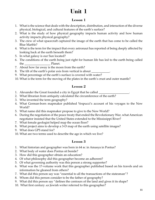# **Unit 1**

#### **Lesson 1**

- 1. What is the science that deals with the description, distribution, and interaction of the diverse physical, biological, and cultural features of the earth's surface?
- 2. What is the study of how physical geography impacts human activity and how human activity impacts physical geography?
- 3. The crew of what spacecraft captured the image of the earth that has come to be called the Blue Marble?
- 4. What is the term for the impact that every astronaut has reported of being deeply affected by looking back at the earth beneath them?
- 5. In what galaxy is our Sun located?
- 6. The conditions of the earth being just right for human life has led to the earth being called the Planet.
- 7. About how far away is the moon from the earth?
- 8. The tilt of the earth's polar axis from vertical is about \_\_\_\_\_\_\_\_\_\_\_\_\_\_\_\_\_\_\_
- 9. What percentage of the earth's surface is covered with water?
- 10. What is the term for the moving of the plates in the earth's crust and outer mantle?

#### **Lesson 2**

- 1. Alexander the Great founded a city in Egypt that he called \_\_\_\_\_\_\_\_\_\_\_\_\_\_\_\_\_\_
- 2. What librarian from antiquity calculated the circumference of the earth?
- 3. Who invented the term geography?
- 4. What German-born mapmaker published Vespucci's account of his voyages to the New World?
- 5. What name did this mapmaker propose to give to the New World?
- 6. During the negotiation of the peace treaty that ended the Revolutionary War, what American negotiator insisted that the United States extended to the Mississippi River?
- 7. What female geologist helped map the ocean floor?
- 8. What project aims to develop a 3-D map of the earth using satellite images?
- 9. What does GPS stand for?
- 10. What are two terms used to describe the age in which we live?

- 1. What historian and geographer was born in 64 bc in Amasya in Pontus?
- 2. What body of water does Pontus sit beside?
- 3. How did this geographer obtain an education?
- 4. Of what philosophy did this geographer become an adherent?
- 5. Of what governing authority was this person a strong supporter?
- 6. What was the 17-volume work that this geographer published based on his travels and on information he gleaned from others?
- 7. What did this person say was "essential to all the transactions of the statesman"?
- 8. Whom did this person consider to be the father of geography?
- 9. What did this person say "defines the contours of the land and gives it its shape?
- 10. What first century ap Jewish writer referred to this geographer?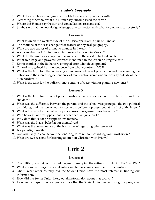#### **Strabo's** *Geography*

- 1. What does Strabo say geography unfolds to us and acquaints us with?
- 2. According to Strabo, what did Homer say encompassed the earth?
- 3. Where did Homer say the sun and constellations rose and set?
- 4. Strabo says that the knowledge of geography connected with what two other areas of study?

#### **Lesson 4**

- 1. What town on the western side of the Mississippi River is part of Illinois?
- 2. The motions of the seas change what feature of physical geography?
- 3. What are two causes of dramatic changes in the earth?
- 4. A volcano built a 1,313 foot mountain near what town in Mexico?
- 5. What did the undersea eruption of a volcano off the coast of Iceland create?
- 6. What two large and powerful empires mentioned in the lesson no longer exist?
- 7. Ethnic conflict in the Balkans re-emerged after what development?
- 8. Timor-Leste gained its independence from what country in 2002?
- 9. What is the term for "the increasing interconnectedness of production and trade among the nations and the increasing dependence of many nations on economic activity outside of their own borders"?
- 10. What is the term for the indiscriminate cutting of trees without planting new ones?

#### **Lesson 5**

- 1. What is the term for the set of presuppositions that leads a person to see the world as he or she does?
- 2. What was the difference between the parents and the school vice principal, the two political candidates, and the two acquaintances in the coffee shop described at the first of the lesson?
- 3. What is the term for the pattern a person uses to organize his or her world?
- 4. Who has a set of presuppositions as described in Question 1?
- 5. Why does this set of presuppositions matter?.
- 6. What was the Nazis' belief about themselves?
- 7. What was the consequence of the Nazis' belief regarding other groups?
- 8. Is a paradigm reality?
- 9. Are you likely to change your actions long-term without changing your worldview?
- 10. What are two reasons for learning about non-Christian worldviews?.

# **Unit 2**

- 1. The military of what country had the goal of mapping the entire world during the Cold War?
- 2. What are some things the Soviet rulers wanted to know about their own country?
- 3. About what other country did the Soviet Union have the most interest in finding out information?
- 4. How did the Soviet Union likely obtain information about that country?
- 5. How many maps did one expert estimate that the Soviet Union made during this program?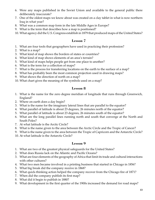- 6. Were any maps published in the Soviet Union and available to the general public there deliberately inaccurate?
- 7. One of the oldest maps we know about was created on a clay tablet in what is now northern Iraq in what year?
- 8. What was a common map form in the late Middle Ages in Europe?
- 9. What is the term that describes how a map is positioned?
- 10. What agency did the U.S. Congress establish in 1879 that produced maps of the United States?

#### **Lesson 7**

- 1. What are four tools that geographers have used in practicing their profession?
- 2. What is a map?
- 3. What kind of map shows the borders of states or countries?
- 4. What kind of map shows elements of an area's terrain?
- 5. What kind of maps helps people get from one place to another?
- 6. What is the term for a collection of maps?
- 7. What is the process for transferring locations on the earth to the surface of a map?
- 8. What has probably been the most common projection used in drawing maps?
- 9. What shows the direction of north on a map?
- 10. What chart gives the meaning of the symbols used on a map?

#### **Lesson 8**

- 1. What is the name for the zero degree meridian of longitude that runs through Greenwich, England?
- 2. Where on earth does a day begin?
- 3. What is the name for the imaginary lateral lines that are parallel to the equator?
- 4. What parallel of latitude is about 23 degrees, 26 minutes north of the equator?
- 5. What parallel of latitude is about 23 degrees, 26 minutes south of the equator?
- 6. What are the long parallel lines running north and south that converge at the North and South Poles?
- 7. At what latitude is the Arctic Circle?
- 8. What is the name given to the area between the Arctic Circle and the Tropic of Cancer?
- 9. What is the name given to the area between the Tropic of Capricorn and the Antarctic Circle?
- 10. At what latitude is the Antarctic Circle?

- 1. What are two of the greatest physical safeguards for the United States?
- 2. What does Russia lack on the Atlantic and Pacific Oceans?
- 3. What are four elements of the geography of Africa that limit its trade and cultural interactions with other cultures?
- 4. What two men became involved in a printing business that started in Chicago in 1856?
- 5. What big break did the company receive in 1868?
- 6. What quick-thinking action helped the company recover from the Chicago fire of 1871?
- 7. When did the company publish its first map?
- 8. What did it begin to publish in 1880?
- 9. What development in the first quarter of the 1900s increased the demand for road maps?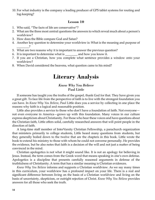10. For what industry is the company a leading producer of GPS tablet systems for routing and log-keeping?

#### **Lesson 10**

- 1. Who said, "The facts of life are conservative"?
- 2. What are the three most central questions the answers to which reveal much about a person's worldview?
- 3. How does the Bible compare God and Satan?
- 4. Another key question to determine your worldview is: What is the meaning and purpose of  $\overline{\phantom{a}}$  ?
- 5. What are two reasons why it is important to answer the previous question?
- 6. It is important to determine what is \_\_\_\_\_\_\_\_ and how you know it.
- 7. If you are a Christian, how you complete what sentence provides a window onto your worldview?
- 8. When David considered the heavens, what question came to his mind?

## **Literary Analysis**

#### *Know Why You Believe* Paul Little

If someone has taught you the truths of the gospel, thank God for that. They have given you a great gift. To face life from the perspective of faith is to live with the strongest foundation you can have. In *Know Why You Believe*, Paul Little does you a service by collecting in one place the reasons why faith is a logical and reasonable position.

Little also provides a service to those who don't have a foundation of faith. Not everyone not even everyone in America—grows up with this foundation. Many voices in our culture express skepticism about Christianity. For those who hear these voices and have questions about the Christian faith, Little offers solid, carefully researched answers that will point people in the direction of faith.

A long-time staff member of InterVarsity Christian Fellowship, a parachurch organization that ministers primarily to college students, Little heard many questions from students, but they generally boiled down to the twelve that are the chapters in this book. Little wrote the book to extend his ministry to those with whom he could not converse personally. He provides the evidence, but he also notes that faith is a decision of the will and not just a matter of being convinced in the mind.

Christian apologetics is not what it might sound like. It is not an apology for believing in Jesus. Instead, the term comes from the Greek word that means speaking in one's own defense. Apologetics is a discipline that presents carefully reasoned arguments in defense of the truthfulness of Christianity. A term that has a similar meaning is Christian evidences.

*Know Why You Believe* informs and supports a Christian worldview. As we say many times in this curriculum, your worldview has a profound impact on your life. There is a real and significant difference between living on the basis of a Christian worldview and living on the basis of uncertainty, skepticism, or outright rejection of Christ. *Know Why You Believe* provides answers for all those who seek the truth.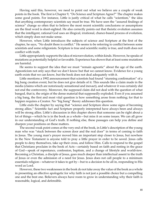Having said this, however, we need to point out what we believe are a couple of weak points in the book. The first is Chapter 9, "Do Science and Scripture Agree?" The chapter makes some good points. For instance, Little is justly critical of what he calls "scientism," the idea that anything contemporary scientists say must be true. We have seen the "assured findings of science" change so often that to believe the most recent scientific conclusions or assumptions are the final word is short-sighted. He also correctly points out that theistic evolution assumes that the intelligent, rational God uses an illogical, irrational, chance-based process of evolution, which simply does not make sense.

However, when Little introduces the subjects of science and Scripture at the first of the chapter, he says, "No doubt there is conflict." He seems to be referring to conflict between some scientists and some religionists. Scripture is true and scientific reality is true, and truth does not conflict with truth.

Little appropriately supports the idea of microevolution, within kinds. However, he speaks of mutations as potentially helpful or favorable. Experience has shown that at least some mutations are harmful.

He seems to support the idea that we must "remain agnostic" about the age of the earth. Agnosticism not only says that we don't know but that we cannot know. Evidence for a young earth exists that we can know, but the book does not deal adequately with it.

Little mentions a 1992 announcement that scientists had found "stunning confirmation" of a big bang creation event, but he does not give details of it. This sounds like a claim made in the media (claims which are notoriously sensational and inexact), and whatever it was certainly did not end the controversy. Moreover, the supposed claim did not deal with the question of what banged, that is, the origin of the dense material that supposedly exploded. Even if you assumed a big bang, the first and most vital question is how something arose from nothing; for that to happen requires a Creator. No "big bang" theory addresses this question.

Little ends the chapter by saying that "science and Scripture show some signs of becoming strong allies." Scientific fact and Scripture properly interpreted have always been and always will be strong allies. Little's discussion in this chapter shows that someone can be right about a lot of things—which he is in the book as a whole—but miss it on some issues. We can all grow in our understanding of God's truth. If nothing else, these passages can help you define and sharpen your positions on these matters.

The second weak point comes at the very end of the book, in Little's description of the young man who was "stuck between the screen door and the real door" in terms of coming to faith in Jesus. The young man's prayer moved him an important step closer to Jesus, but nowhere in the New Testament is anyone told to pray a little prayer in order to be saved. Jesus calls people to deny themselves, take up their cross, and follow Him. Calls to respond to the gospel that Christians proclaim in the book of Acts—certainly based on faith and resting in the grace of God—speak of repentance, confession, baptism, and a change of lifestyle and worldview. Becoming a Christian, a disciple of Jesus, goes much deeper than intellectual assent to the truth of Jesus or even the admission of a need for Jesus. Jesus does not call people to a minimum essentials religion—whatever it takes to get by—but to a decision to be all in, responding to His word as Lord.

However, these two weaknesses in the book do not take away the value of the book as a whole in presenting an effective apologetic for why faith is not just a possible choice but a compelling one and the best one. Believers always have room to grow in understanding why their faith is reasonable, logical, and defensible.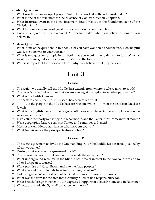#### **Content Questions**

- 1. What was the main group of people Paul E. Little worked with and ministered to?
- 2. What is one of the evidences for the existence of God discussed in Chapter 2?
- 3. What historical event in the New Testament does Little say is the foundation stone of the Christian faith?
- 4. What have modern archaeological discoveries shown about the Bible?
- 5. Does Little agree with the statement, "It doesn't matter what you believe as long as you believe it?"

#### **Analysis Questions**

- 1. What is one of the questions in this book that you have wondered about before? How helpful was Little's answer to your question?
- 2. What is one question or topic in the book that you would like to delve into further? What would be some good sources for information on the topic?
- 3. Why is it important for a person to know why they believe what they believe?

# **Unit 3**

#### **Lesson 11**

- 1. The region we usually call the Middle East extends from where to where north to south?
- 2. The term Middle East assumes that we are looking at the region from what perspective?
- 3. What is the Fertile Crescent?
- 4. The eastern end of the Fertile Crescent has been called what?
- 5. \_\_\_\_% of the people in the Middle East are Muslim, while \_\_\_\_% of the people in Israel are Jewish.
- 6. What is the English name for the largest contiguous sand desert in the world, located on the Arabian Peninsula?
- 7. In Palestine the "early rains" begin in what month, and the "latter rains" come in what month?
- 8. What geographic feature begins in Turkey and continues to Kenya?
- 9. Most of ancient Mesopotamia is in what modern country?
- 10. What two rivers are the principal features of Iraq?

- 1. The secret agreement to divide the Ottoman Empire (or the Middle East) is usually called by what two names?
- 2. During what war was the agreement made?
- 3. The representatives of what two countries made the agreement?
- 4. What underground resource in the Middle East was of interest to the two countries and to other European countries?
- 5. What promise did Great Britain make to the Arab peoples?
- 6. What idea did the diplomats have for governing Palestine?
- 7. Did the agreement support or violate Great Britain's promise to the Arabs?
- 8. What was the term for the area that a country ruled or had responsibility for?
- 9. What British foreign minister in 1917 expressed support for a Jewish homeland in Palestine?
- 10. What group made the Sykes-Picot agreement public?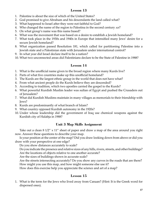#### **Lesson 13**

- 1. Palestine is about the size of which of the United States?
- 2. God promised to give Abraham and his descendants the land called what?
- 3. What happened to Israel after they were not faithful to God?
- 4. Who changed the name of the region to Palestina in the second century AD?
- 5. On what group's name was this name based?
- 6. What was the movement that was based on a desire to establish a Jewish homeland?
- 7. What took place in the 1930s and 1940s in Europe that intensified many Jews' desire for a secure Jewish homeland?
- 8. What organization passed Resolution 181, which called for partitioning Palestine into a Jewish state and a Palestinian state with Jerusalem under international control?
- 9. In what year did Israel declare itself to be a nation?
- 10. What two unconnected areas did Palestinians declare to be the State of Palestine in 1988?

#### **Lesson 14**

- 1. What is the unofficial name given to the broad region where many Kurds live?
- 2. Parts of what five countries make up this unofficial homeland?
- 3. The Kurds are the largest ethnic group in the world that does not have what?
- 4. From what ancient people do the Kurds believe they are descended?
- 5. According to tradition, which two apostles carried the gospel to the Kurds?
- 6. What powerful Kurdish Muslim leader was sultan of Egypt and pushed the Crusaders out of Jerusalem?
- 7. What did Kurdish Muslims maintain in many villages as memorials to their friendship with Jews?
- 8. Kurds are predominantly of what branch of Islam?
- 9. What country opposed Kurdish autonomy in the 1920s?
- 10. Under whose leadership did the government of Iraq use chemical weapons against the Kurdish city of Halabja in 1988?

#### **Unit 3 Map Skills Assignment**

Take out a clean 8 1/2" x 11" sheet of paper and draw a map of the area around you right now. Answer these questions to describe your map.

Is your position at the center of the map? Did you draw looking down from above or did you draw with your perspective at one edge?

Do you show distances accurately to scale?

Do you indicate the presence and relative sizes of any hills, rivers, streets, and other buildings? Are the locations of objects relative to one another accurate?

Are the sizes of buildings shown in accurate scale?

Are the streets intersecting accurately? Do you show any curves in the roads that are there? How might you use this map, and how might someone else use it?

How does this exercise help you appreciate the science and art of a map?

#### **Lesson 15**

1. What is the term for the Jews who lived away from Canaan? (Hint: It is the Greek word for dispersed ones).